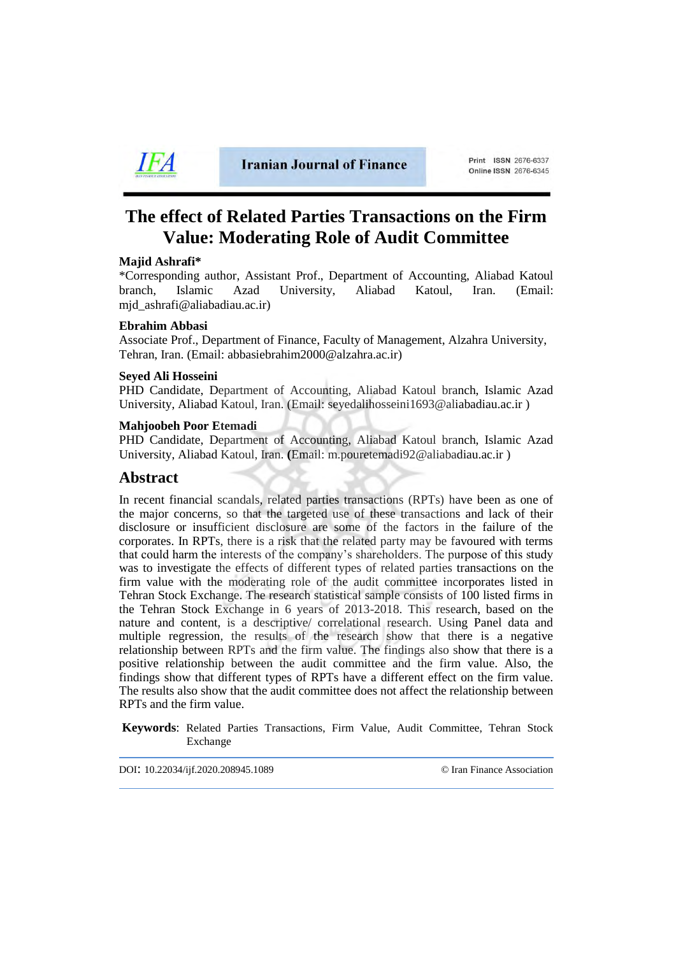

**Iranian Journal of Finance** 

# **The effect of Related Parties Transactions on the Firm Value: Moderating Role of Audit Committee**

## **Majid Ashrafi\***

\*Corresponding author, Assistant Prof., Department of Accounting, Aliabad Katoul branch, Islamic Azad University, Aliabad Katoul, Iran. (Email: [mjd\\_ashrafi@aliabadiau.ac.ir\)](mailto:mjd_ashrafi@aliabadiau.ac.ir)

#### **Ebrahim Abbasi**

Associate Prof., Department of Finance, Faculty of Management, Alzahra University, Tehran, Iran. (Email: abbasiebrahim2000@alzahra.ac.ir)

#### **Seyed Ali Hosseini**

PHD Candidate, Department of Accounting, Aliabad Katoul branch, Islamic Azad University, Aliabad Katoul, Iran. (Email: seyedalihosseini1693@aliabadiau.ac.ir )

#### **Mahjoobeh Poor Etemadi**

PHD Candidate, Department of Accounting, Aliabad Katoul branch, Islamic Azad University, Aliabad Katoul, Iran. **(**Email: m.pouretemadi92@aliabadiau.ac.ir )

# **Abstract**

In recent financial scandals, related parties transactions (RPTs) have been as one of the major concerns, so that the targeted use of these transactions and lack of their disclosure or insufficient disclosure are some of the factors in the failure of the corporates. In RPTs, there is a risk that the related party may be favoured with terms that could harm the interests of the company's shareholders. The purpose of this study was to investigate the effects of different types of related parties transactions on the firm value with the moderating role of the audit committee incorporates listed in Tehran Stock Exchange. The research statistical sample consists of 100 listed firms in the Tehran Stock Exchange in 6 years of 2013-2018. This research, based on the nature and content, is a descriptive/ correlational research. Using Panel data and multiple regression, the results of the research show that there is a negative relationship between RPTs and the firm value. The findings also show that there is a positive relationship between the audit committee and the firm value. Also, the findings show that different types of RPTs have a different effect on the firm value. The results also show that the audit committee does not affect the relationship between RPTs and the firm value.

**Keywords**: Related Parties Transactions, Firm Value, Audit Committee, Tehran Stock Exchange

DOI: 10.22034/ijf.2020.208945.1089 [© Iran Finance Association](http://ifsa.org.ir/)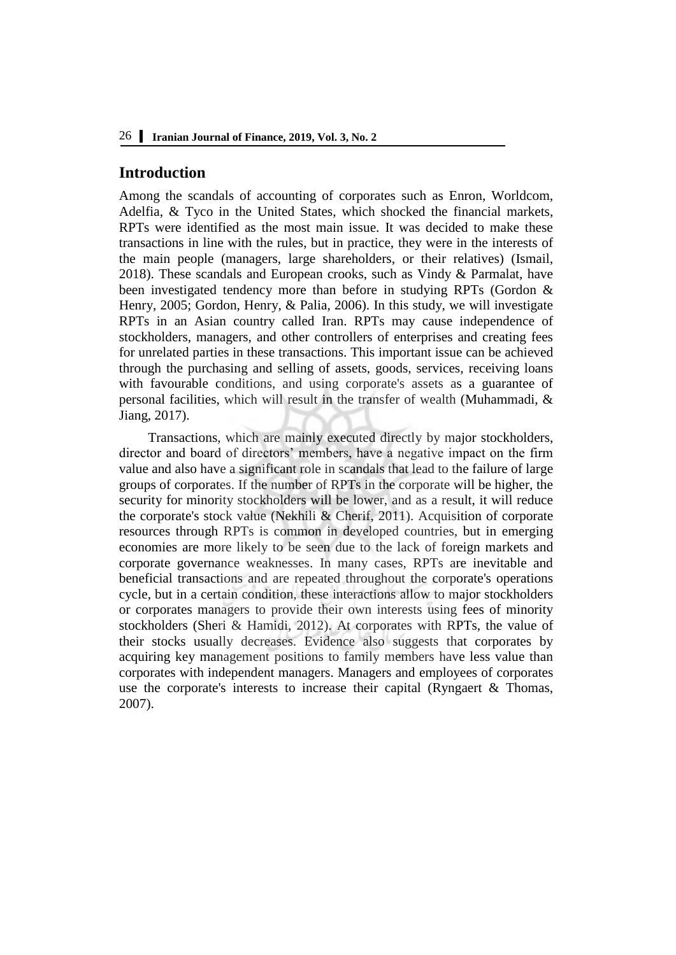# **Introduction**

Among the scandals of accounting of corporates such as Enron, Worldcom, Adelfia, & Tyco in the United States, which shocked the financial markets, RPTs were identified as the most main issue. It was decided to make these transactions in line with the rules, but in practice, they were in the interests of the main people (managers, large shareholders, or their relatives) (Ismail, 2018). These scandals and European crooks, such as Vindy & Parmalat, have been investigated tendency more than before in studying RPTs (Gordon & Henry, 2005; Gordon, Henry, & Palia, 2006). In this study, we will investigate RPTs in an Asian country called Iran. RPTs may cause independence of stockholders, managers, and other controllers of enterprises and creating fees for unrelated parties in these transactions. This important issue can be achieved through the purchasing and selling of assets, goods, services, receiving loans with favourable conditions, and using corporate's assets as a guarantee of personal facilities, which will result in the transfer of wealth (Muhammadi, & Jiang, 2017).

Transactions, which are mainly executed directly by major stockholders, director and board of directors' members, have a negative impact on the firm value and also have a significant role in scandals that lead to the failure of large groups of corporates. If the number of RPTs in the corporate will be higher, the security for minority stockholders will be lower, and as a result, it will reduce the corporate's stock value (Nekhili & Cherif, 2011). Acquisition of corporate resources through RPTs is common in developed countries, but in emerging economies are more likely to be seen due to the lack of foreign markets and corporate governance weaknesses. In many cases, RPTs are inevitable and beneficial transactions and are repeated throughout the corporate's operations cycle, but in a certain condition, these interactions allow to major stockholders or corporates managers to provide their own interests using fees of minority stockholders (Sheri & Hamidi, 2012). At corporates with RPTs, the value of their stocks usually decreases. Evidence also suggests that corporates by acquiring key management positions to family members have less value than corporates with independent managers. Managers and employees of corporates use the corporate's interests to increase their capital (Ryngaert & Thomas, 2007).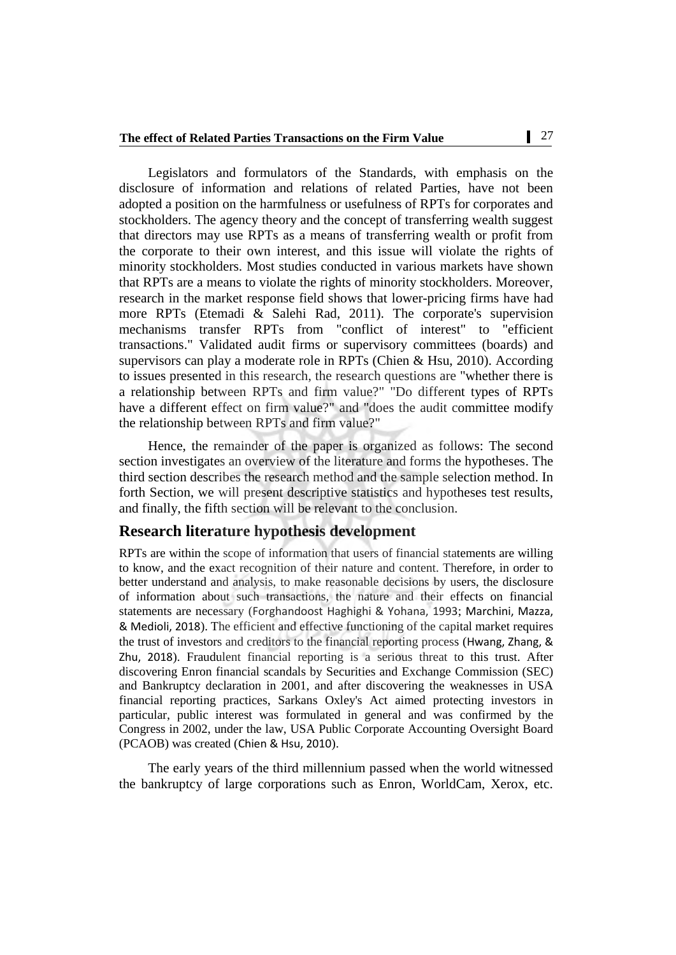Legislators and formulators of the Standards, with emphasis on the disclosure of information and relations of related Parties, have not been adopted a position on the harmfulness or usefulness of RPTs for corporates and stockholders. The agency theory and the concept of transferring wealth suggest that directors may use RPTs as a means of transferring wealth or profit from the corporate to their own interest, and this issue will violate the rights of minority stockholders. Most studies conducted in various markets have shown that RPTs are a means to violate the rights of minority stockholders. Moreover, research in the market response field shows that lower-pricing firms have had more RPTs (Etemadi & Salehi Rad, 2011). The corporate's supervision mechanisms transfer RPTs from "conflict of interest" to "efficient transactions." Validated audit firms or supervisory committees (boards) and supervisors can play a moderate role in RPTs (Chien & Hsu, 2010). According to issues presented in this research, the research questions are "whether there is a relationship between RPTs and firm value?" "Do different types of RPTs have a different effect on firm value?" and "does the audit committee modify the relationship between RPTs and firm value?"

Hence, the remainder of the paper is organized as follows: The second section investigates an overview of the literature and forms the hypotheses. The third section describes the research method and the sample selection method. In forth Section, we will present descriptive statistics and hypotheses test results, and finally, the fifth section will be relevant to the conclusion.

# **Research literature hypothesis development**

RPTs are within the scope of information that users of financial statements are willing to know, and the exact recognition of their nature and content. Therefore, in order to better understand and analysis, to make reasonable decisions by users, the disclosure of information about such transactions, the nature and their effects on financial statements are necessary ([Forghandoost Haghighi & Yohana, 1993](file:///C:/Users/atefe/Desktop/drfjl/2%202019/1089/1089.edited.docx%23_ENREF_22); [Marchini, Mazza,](file:///C:/Users/atefe/Desktop/drfjl/2%202019/1089/1089.edited.docx%23_ENREF_34)  [& Medioli, 2018](file:///C:/Users/atefe/Desktop/drfjl/2%202019/1089/1089.edited.docx%23_ENREF_34)). The efficient and effective functioning of the capital market requires the trust of investors and creditors to the financial reporting process ([Hwang, Zhang, &](file:///C:/Users/atefe/Desktop/drfjl/2%202019/1089/1089.edited.docx%23_ENREF_27)  [Zhu, 2018](file:///C:/Users/atefe/Desktop/drfjl/2%202019/1089/1089.edited.docx%23_ENREF_27)). Fraudulent financial reporting is a serious threat to this trust. After discovering Enron financial scandals by Securities and Exchange Commission (SEC) and Bankruptcy declaration in 2001, and after discovering the weaknesses in USA financial reporting practices, Sarkans Oxley's Act aimed protecting investors in particular, public interest was formulated in general and was confirmed by the Congress in 2002, under the law, USA Public Corporate Accounting Oversight Board (PCAOB) was created ([Chien & Hsu, 2010](file:///C:/Users/atefe/Desktop/drfjl/2%202019/1089/1089.edited.docx%23_ENREF_15)).

The early years of the third millennium passed when the world witnessed the bankruptcy of large corporations such as Enron, WorldCam, Xerox, etc.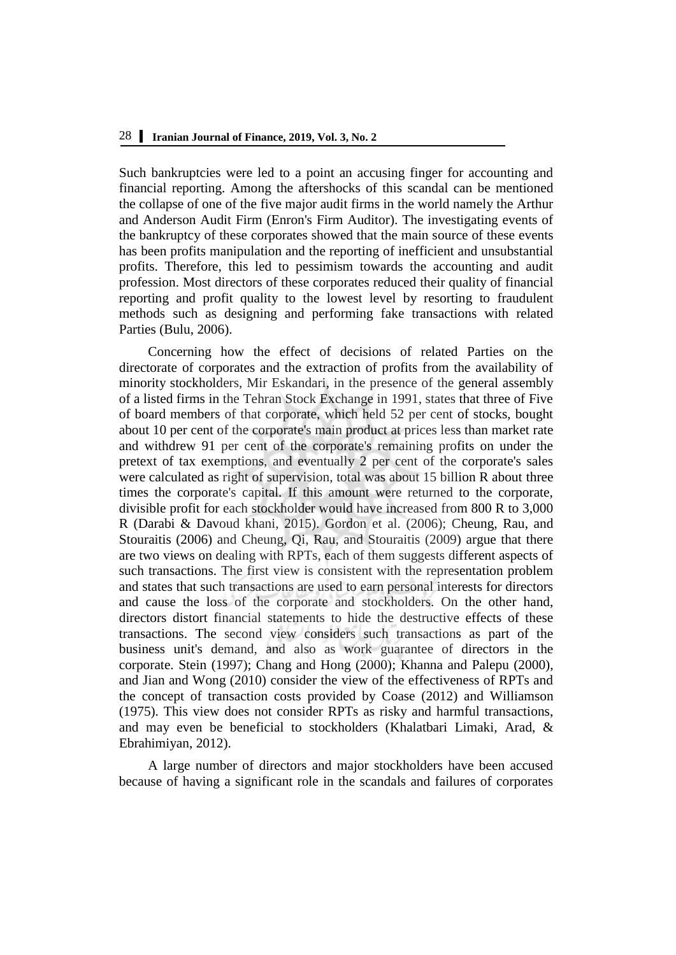Such bankruptcies were led to a point an accusing finger for accounting and financial reporting. Among the aftershocks of this scandal can be mentioned the collapse of one of the five major audit firms in the world namely the Arthur and Anderson Audit Firm (Enron's Firm Auditor). The investigating events of the bankruptcy of these corporates showed that the main source of these events has been profits manipulation and the reporting of inefficient and unsubstantial profits. Therefore, this led to pessimism towards the accounting and audit profession. Most directors of these corporates reduced their quality of financial reporting and profit quality to the lowest level by resorting to fraudulent methods such as designing and performing fake transactions with related Parties [\(Bulu, 2006\)](file:///C:/Users/atefe/Desktop/drfjl/2%202019/1089/1089.edited.docx%23_ENREF_11).

Concerning how the effect of decisions of related Parties on the directorate of corporates and the extraction of profits from the availability of minority stockholders, Mir Eskandari, in the presence of the general assembly of a listed firms in the Tehran Stock Exchange in 1991, states that three of Five of board members of that corporate, which held 52 per cent of stocks, bought about 10 per cent of the corporate's main product at prices less than market rate and withdrew 91 per cent of the corporate's remaining profits on under the pretext of tax exemptions, and eventually 2 per cent of the corporate's sales were calculated as right of supervision, total was about 15 billion R about three times the corporate's capital. If this amount were returned to the corporate, divisible profit for each stockholder would have increased from 800 R to 3,000 R [\(Darabi & Davoud khani, 2015\)](file:///C:/Users/atefe/Desktop/drfjl/2%202019/1089/1089.edited.docx%23_ENREF_18). [Gordon et al. \(2006\);](file:///C:/Users/atefe/Desktop/drfjl/2%202019/1089/1089.edited.docx%23_ENREF_25) [Cheung, Rau, and](file:///C:/Users/atefe/Desktop/drfjl/2%202019/1089/1089.edited.docx%23_ENREF_14)  Stouraitis (2006) and [Cheung, Qi, Rau, and Stouraitis \(2009\)](file:///C:/Users/atefe/Desktop/drfjl/2%202019/1089/1089.edited.docx%23_ENREF_13) argue that there are two views on dealing with RPTs, each of them suggests different aspects of such transactions. The first view is consistent with the representation problem and states that such transactions are used to earn personal interests for directors and cause the loss of the corporate and stockholders. On the other hand, directors distort financial statements to hide the destructive effects of these transactions. The second view considers such transactions as part of the business unit's demand, and also as work guarantee of directors in the corporate. [Stein \(1997\);](file:///C:/Users/atefe/Desktop/drfjl/2%202019/1089/1089.edited.docx%23_ENREF_43) [Chang and Hong \(2000\);](file:///C:/Users/atefe/Desktop/drfjl/2%202019/1089/1089.edited.docx%23_ENREF_12) [Khanna and Palepu \(2000\),](file:///C:/Users/atefe/Desktop/drfjl/2%202019/1089/1089.edited.docx%23_ENREF_32) and [Jian and Wong \(2010\)](file:///C:/Users/atefe/Desktop/drfjl/2%202019/1089/1089.edited.docx%23_ENREF_29) consider the view of the effectiveness of RPTs and the concept of transaction costs provided by [Coase \(2012\)](file:///C:/Users/atefe/Desktop/drfjl/2%202019/1089/1089.edited.docx%23_ENREF_16) and [Williamson](file:///C:/Users/atefe/Desktop/drfjl/2%202019/1089/1089.edited.docx%23_ENREF_46)  (1975). This view does not consider RPTs as risky and harmful transactions, and may even be beneficial to stockholders [\(Khalatbari Limaki, Arad, &](file:///C:/Users/atefe/Desktop/drfjl/2%202019/1089/1089.edited.docx%23_ENREF_31)  [Ebrahimiyan, 2012\)](file:///C:/Users/atefe/Desktop/drfjl/2%202019/1089/1089.edited.docx%23_ENREF_31).

A large number of directors and major stockholders have been accused because of having a significant role in the scandals and failures of corporates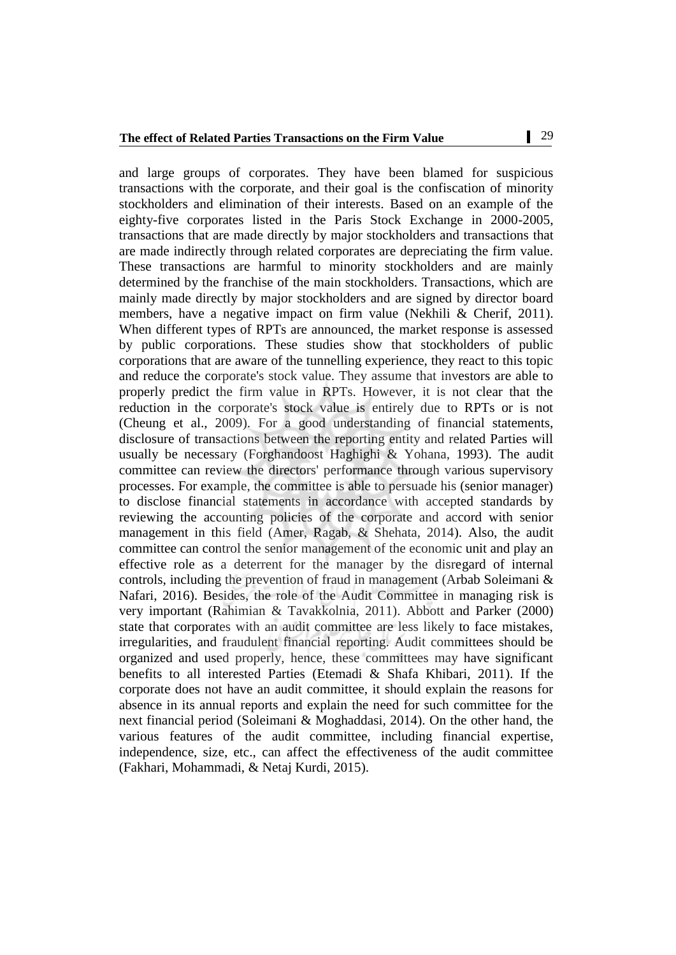and large groups of corporates. They have been blamed for suspicious transactions with the corporate, and their goal is the confiscation of minority stockholders and elimination of their interests. Based on an example of the eighty-five corporates listed in the Paris Stock Exchange in 2000-2005, transactions that are made directly by major stockholders and transactions that are made indirectly through related corporates are depreciating the firm value. These transactions are harmful to minority stockholders and are mainly determined by the franchise of the main stockholders. Transactions, which are mainly made directly by major stockholders and are signed by director board members, have a negative impact on firm value [\(Nekhili & Cherif, 2011\)](file:///C:/Users/atefe/Desktop/drfjl/2%202019/1089/1089.edited.docx%23_ENREF_35). When different types of RPTs are announced, the market response is assessed by public corporations. These studies show that stockholders of public corporations that are aware of the tunnelling experience, they react to this topic and reduce the corporate's stock value. They assume that investors are able to properly predict the firm value in RPTs. However, it is not clear that the reduction in the corporate's stock value is entirely due to RPTs or is not [\(Cheung et al., 2009\)](file:///C:/Users/atefe/Desktop/drfjl/2%202019/1089/1089.edited.docx%23_ENREF_13). For a good understanding of financial statements, disclosure of transactions between the reporting entity and related Parties will usually be necessary [\(Forghandoost Haghighi & Yohana, 1993\)](file:///C:/Users/atefe/Desktop/drfjl/2%202019/1089/1089.edited.docx%23_ENREF_22). The audit committee can review the directors' performance through various supervisory processes. For example, the committee is able to persuade his (senior manager) to disclose financial statements in accordance with accepted standards by reviewing the accounting policies of the corporate and accord with senior management in this field [\(Amer, Ragab, & Shehata, 2014\)](file:///C:/Users/atefe/Desktop/drfjl/2%202019/1089/1089.edited.docx%23_ENREF_5). Also, the audit committee can control the senior management of the economic unit and play an effective role as a deterrent for the manager by the disregard of internal controls, including the prevention of fraud in management [\(Arbab Soleimani &](file:///C:/Users/atefe/Desktop/drfjl/2%202019/1089/1089.edited.docx%23_ENREF_6)  [Nafari, 2016\)](file:///C:/Users/atefe/Desktop/drfjl/2%202019/1089/1089.edited.docx%23_ENREF_6). Besides, the role of the Audit Committee in managing risk is very important [\(Rahimian & Tavakkolnia, 2011\)](file:///C:/Users/atefe/Desktop/drfjl/2%202019/1089/1089.edited.docx%23_ENREF_38). [Abbott and Parker \(2000\)](file:///C:/Users/atefe/Desktop/drfjl/2%202019/1089/1089.edited.docx%23_ENREF_1) state that corporates with an audit committee are less likely to face mistakes, irregularities, and fraudulent financial reporting. Audit committees should be organized and used properly, hence, these committees may have significant benefits to all interested Parties [\(Etemadi & Shafa Khibari, 2011\)](file:///C:/Users/atefe/Desktop/drfjl/2%202019/1089/1089.edited.docx%23_ENREF_20). If the corporate does not have an audit committee, it should explain the reasons for absence in its annual reports and explain the need for such committee for the next financial period [\(Soleimani & Moghaddasi, 2014\)](file:///C:/Users/atefe/Desktop/drfjl/2%202019/1089/1089.edited.docx%23_ENREF_41). On the other hand, the various features of the audit committee, including financial expertise, independence, size, etc., can affect the effectiveness of the audit committee [\(Fakhari, Mohammadi, & Netaj Kurdi, 2015\)](file:///C:/Users/atefe/Desktop/drfjl/2%202019/1089/1089.edited.docx%23_ENREF_21).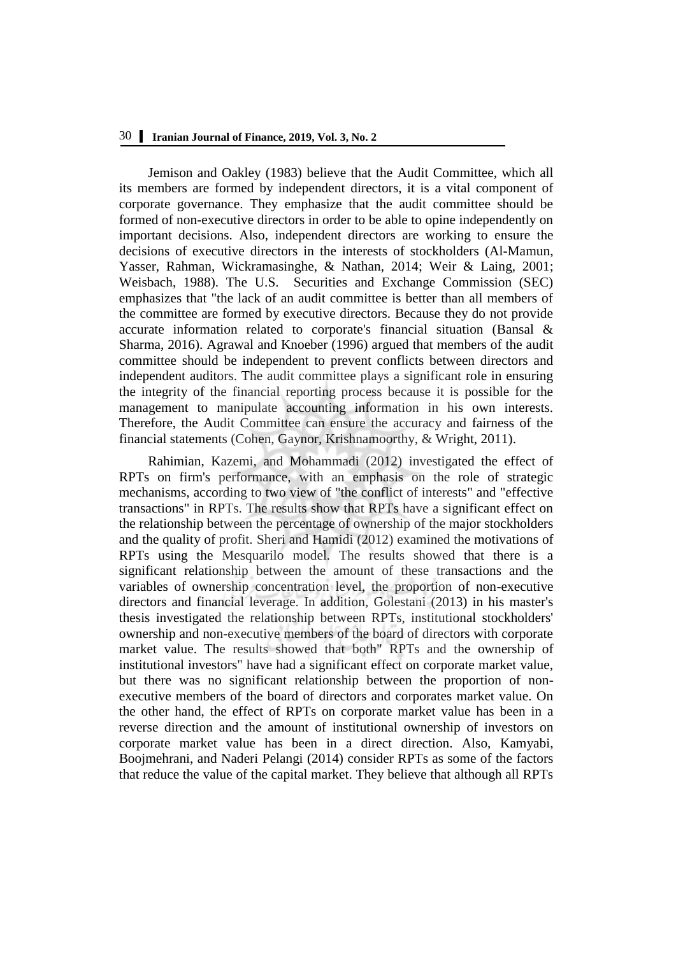[Jemison and Oakley \(1983\)](file:///C:/Users/atefe/Desktop/drfjl/2%202019/1089/1089.edited.docx%23_ENREF_28) believe that the Audit Committee, which all its members are formed by independent directors, it is a vital component of corporate governance. They emphasize that the audit committee should be formed of non-executive directors in order to be able to opine independently on important decisions. Also, independent directors are working to ensure the decisions of executive directors in the interests of stockholders [\(Al-Mamun,](file:///C:/Users/atefe/Desktop/drfjl/2%202019/1089/1089.edited.docx%23_ENREF_4)  [Yasser, Rahman, Wickramasinghe, & Nathan, 2014;](file:///C:/Users/atefe/Desktop/drfjl/2%202019/1089/1089.edited.docx%23_ENREF_4) [Weir & Laing, 2001;](file:///C:/Users/atefe/Desktop/drfjl/2%202019/1089/1089.edited.docx%23_ENREF_44) [Weisbach, 1988\)](file:///C:/Users/atefe/Desktop/drfjl/2%202019/1089/1089.edited.docx%23_ENREF_45). The U.S. Securities and Exchange Commission (SEC) emphasizes that "the lack of an audit committee is better than all members of the committee are formed by executive directors. Because they do not provide accurate information related to corporate's financial situation [\(Bansal &](file:///C:/Users/atefe/Desktop/drfjl/2%202019/1089/1089.edited.docx%23_ENREF_8)  [Sharma, 2016\)](file:///C:/Users/atefe/Desktop/drfjl/2%202019/1089/1089.edited.docx%23_ENREF_8). [Agrawal and Knoeber \(1996\)](file:///C:/Users/atefe/Desktop/drfjl/2%202019/1089/1089.edited.docx%23_ENREF_2) argued that members of the audit committee should be independent to prevent conflicts between directors and independent auditors. The audit committee plays a significant role in ensuring the integrity of the financial reporting process because it is possible for the management to manipulate accounting information in his own interests. Therefore, the Audit Committee can ensure the accuracy and fairness of the financial statements [\(Cohen, Gaynor, Krishnamoorthy, & Wright, 2011\)](file:///C:/Users/atefe/Desktop/drfjl/2%202019/1089/1089.edited.docx%23_ENREF_17).

[Rahimian, Kazemi, and Mohammadi \(2012\)](file:///C:/Users/atefe/Desktop/drfjl/2%202019/1089/1089.edited.docx%23_ENREF_37) investigated the effect of RPTs on firm's performance, with an emphasis on the role of strategic mechanisms, according to two view of "the conflict of interests" and "effective transactions" in RPTs. The results show that RPTs have a significant effect on the relationship between the percentage of ownership of the major stockholders and the quality of profit. [Sheri and Hamidi \(2012\)](file:///C:/Users/atefe/Desktop/drfjl/2%202019/1089/1089.edited.docx%23_ENREF_40) examined the motivations of RPTs using the Mesquarilo model. The results showed that there is a significant relationship between the amount of these transactions and the variables of ownership concentration level, the proportion of non-executive directors and financial leverage. In addition, [Golestani \(2013\)](file:///C:/Users/atefe/Desktop/drfjl/2%202019/1089/1089.edited.docx%23_ENREF_23) in his master's thesis investigated the relationship between RPTs, institutional stockholders' ownership and non-executive members of the board of directors with corporate market value. The results showed that both" RPTs and the ownership of institutional investors" have had a significant effect on corporate market value, but there was no significant relationship between the proportion of nonexecutive members of the board of directors and corporates market value. On the other hand, the effect of RPTs on corporate market value has been in a reverse direction and the amount of institutional ownership of investors on corporate market value has been in a direct direction. Also, [Kamyabi,](file:///C:/Users/atefe/Desktop/drfjl/2%202019/1089/1089.edited.docx%23_ENREF_30)  Boojmehrani, and Naderi Pelangi (2014) consider RPTs as some of the factors that reduce the value of the capital market. They believe that although all RPTs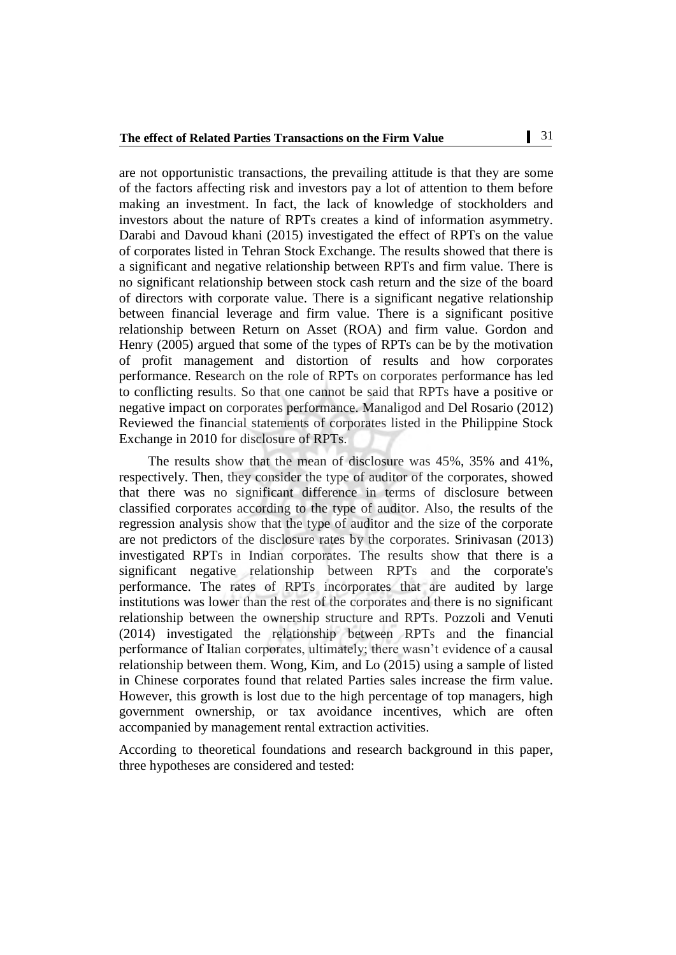are not opportunistic transactions, the prevailing attitude is that they are some of the factors affecting risk and investors pay a lot of attention to them before making an investment. In fact, the lack of knowledge of stockholders and investors about the nature of RPTs creates a kind of information asymmetry. [Darabi and Davoud khani \(2015\)](file:///C:/Users/atefe/Desktop/drfjl/2%202019/1089/1089.edited.docx%23_ENREF_18) investigated the effect of RPTs on the value of corporates listed in Tehran Stock Exchange. The results showed that there is a significant and negative relationship between RPTs and firm value. There is no significant relationship between stock cash return and the size of the board of directors with corporate value. There is a significant negative relationship between financial leverage and firm value. There is a significant positive relationship between Return on Asset (ROA) and firm value. [Gordon and](file:///C:/Users/atefe/Desktop/drfjl/2%202019/1089/1089.edited.docx%23_ENREF_24)  Henry (2005) argued that some of the types of RPTs can be by the motivation of profit management and distortion of results and how corporates performance. Research on the role of RPTs on corporates performance has led to conflicting results. So that one cannot be said that RPTs have a positive or negative impact on corporates performance. [Manaligod and Del Rosario \(2012\)](file:///C:/Users/atefe/Desktop/drfjl/2%202019/1089/1089.edited.docx%23_ENREF_33) Reviewed the financial statements of corporates listed in the Philippine Stock Exchange in 2010 for disclosure of RPTs.

The results show that the mean of disclosure was 45%, 35% and 41%, respectively. Then, they consider the type of auditor of the corporates, showed that there was no significant difference in terms of disclosure between classified corporates according to the type of auditor. Also, the results of the regression analysis show that the type of auditor and the size of the corporate are not predictors of the disclosure rates by the corporates. [Srinivasan \(2013\)](file:///C:/Users/atefe/Desktop/drfjl/2%202019/1089/1089.edited.docx%23_ENREF_42) investigated RPTs in Indian corporates. The results show that there is a significant negative relationship between RPTs and the corporate's performance. The rates of RPTs incorporates that are audited by large institutions was lower than the rest of the corporates and there is no significant relationship between the ownership structure and RPTs. [Pozzoli and Venuti](file:///C:/Users/atefe/Desktop/drfjl/2%202019/1089/1089.edited.docx%23_ENREF_36)  (2014) investigated the relationship between RPTs and the financial performance of Italian corporates, ultimately; there wasn't evidence of a causal relationship between them. [Wong, Kim, and Lo \(2015\)](file:///C:/Users/atefe/Desktop/drfjl/2%202019/1089/1089.edited.docx%23_ENREF_47) using a sample of listed in Chinese corporates found that related Parties sales increase the firm value. However, this growth is lost due to the high percentage of top managers, high government ownership, or tax avoidance incentives, which are often accompanied by management rental extraction activities.

According to theoretical foundations and research background in this paper, three hypotheses are considered and tested: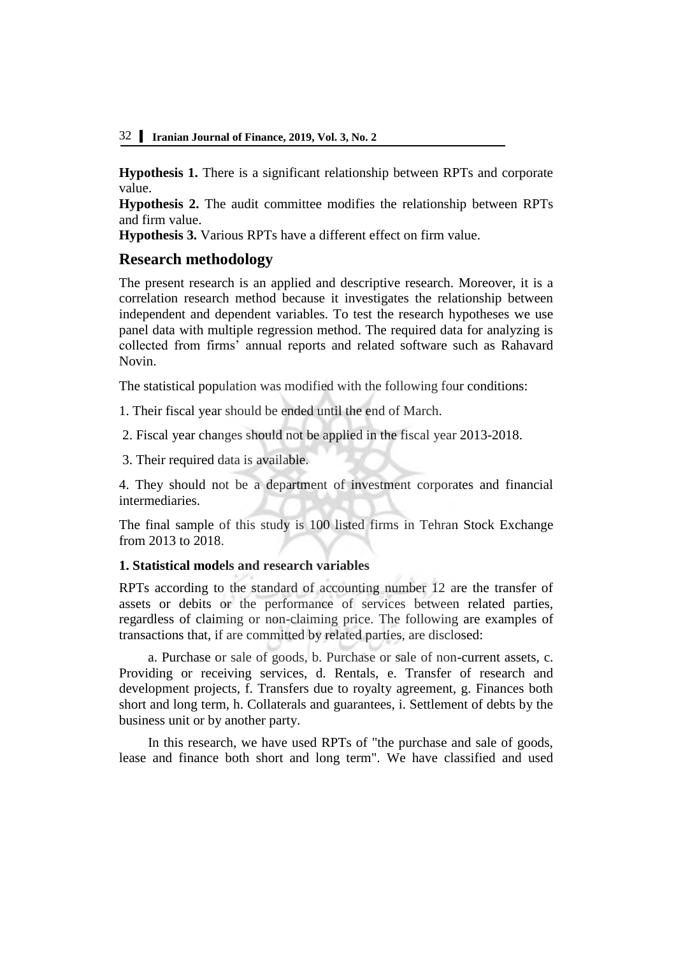**Hypothesis 1.** There is a significant relationship between RPTs and corporate value.

**Hypothesis 2.** The audit committee modifies the relationship between RPTs and firm value.

**Hypothesis 3.** Various RPTs have a different effect on firm value.

# **Research methodology**

The present research is an applied and descriptive research. Moreover, it is a correlation research method because it investigates the relationship between independent and dependent variables. To test the research hypotheses we use panel data with multiple regression method. The required data for analyzing is collected from firms' annual reports and related software such as Rahavard Novin.

The statistical population was modified with the following four conditions:

1. Their fiscal year should be ended until the end of March.

2. Fiscal year changes should not be applied in the fiscal year 2013-2018.

3. Their required data is available.

4. They should not be a department of investment corporates and financial intermediaries.

The final sample of this study is 100 listed firms in Tehran Stock Exchange from 2013 to 2018.

# **1. Statistical models and research variables**

RPTs according to the standard of accounting number 12 are the transfer of assets or debits or the performance of services between related parties, regardless of claiming or non-claiming price. The following are examples of transactions that, if are committed by related parties, are disclosed:

a. Purchase or sale of goods, b. Purchase or sale of non-current assets, c. Providing or receiving services, d. Rentals, e. Transfer of research and development projects, f. Transfers due to royalty agreement, g. Finances both short and long term, h. Collaterals and guarantees, i. Settlement of debts by the business unit or by another party.

In this research, we have used RPTs of "the purchase and sale of goods, lease and finance both short and long term". We have classified and used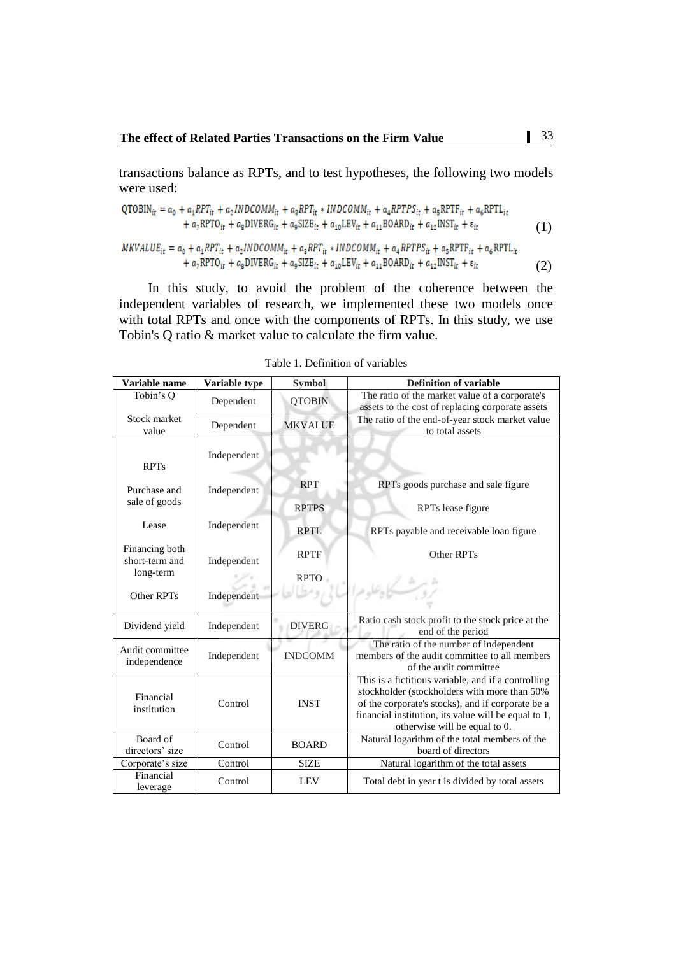transactions balance as RPTs, and to test hypotheses, the following two models were used:

$$
QTOBIN_{it} = a_0 + a_1 RPT_{it} + a_2 INDCOMM_{it} + a_3 RPT_{it} * INDCOMM_{it} + a_4 RPTPS_{it} + a_5 RPTF_{it} + a_6 RPTL_{it}
$$
  
+ a\_7 RPTO\_{it} + a\_8 DIVERG\_{it} + a\_9 SIZE\_{it} + a\_{10} LEV\_{it} + a\_{11} BOARD\_{it} + a\_{12} INST\_{it} + \varepsilon\_{it}  
MKVALUE<sub>1</sub> = a<sub>0</sub> + a<sub>1</sub> RPT<sub>i</sub> + a<sub>2</sub> INDCOMM<sub>ii</sub> + a<sub>3</sub> RPT<sub>i</sub> \* INDCOMM<sub>ii</sub> + a<sub>4</sub> RPTPS<sub>ii</sub> + a<sub>5</sub> RPT<sub>ii</sub> + a<sub>6</sub> RPTL<sub>ii</sub> (1)

$$
+ a_7 R P T O_{it} + a_8 D I V E R G_{it} + a_9 S I Z E_{it} + a_{10} L E V_{it} + a_{11} B O AR D_{it} + a_{12} I N S T_{it} + \varepsilon_{it}
$$
\n(2)

In this study, to avoid the problem of the coherence between the independent variables of research, we implemented these two models once with total RPTs and once with the components of RPTs. In this study, we use Tobin's Q ratio & market value to calculate the firm value.

| Variable name                    | Variable type | <b>Symbol</b>  | <b>Definition of variable</b>                                                                                                                                                                                                                     |
|----------------------------------|---------------|----------------|---------------------------------------------------------------------------------------------------------------------------------------------------------------------------------------------------------------------------------------------------|
| Tobin's Q                        | Dependent     | <b>QTOBIN</b>  | The ratio of the market value of a corporate's<br>assets to the cost of replacing corporate assets                                                                                                                                                |
| Stock market<br>value            | Dependent     | <b>MKVALUE</b> | The ratio of the end-of-year stock market value<br>to total assets                                                                                                                                                                                |
| <b>RPTs</b>                      | Independent   |                |                                                                                                                                                                                                                                                   |
| Purchase and                     | Independent   | <b>RPT</b>     | RPTs goods purchase and sale figure                                                                                                                                                                                                               |
| sale of goods                    |               | <b>RPTPS</b>   | RPTs lease figure                                                                                                                                                                                                                                 |
| Lease                            | Independent   | <b>RPTL</b>    | RPTs payable and receivable loan figure                                                                                                                                                                                                           |
| Financing both<br>short-term and | Independent   | <b>RPTF</b>    | Other RPTs                                                                                                                                                                                                                                        |
| long-term                        |               | <b>RPTO</b>    |                                                                                                                                                                                                                                                   |
| Other RPTs                       | Independent   |                |                                                                                                                                                                                                                                                   |
| Dividend yield                   | Independent   | <b>DIVERG</b>  | Ratio cash stock profit to the stock price at the<br>end of the period                                                                                                                                                                            |
| Audit committee<br>independence  | Independent   | <b>INDCOMM</b> | The ratio of the number of independent<br>members of the audit committee to all members<br>of the audit committee                                                                                                                                 |
| Financial<br>institution         | Control       | <b>INST</b>    | This is a fictitious variable, and if a controlling<br>stockholder (stockholders with more than 50%<br>of the corporate's stocks), and if corporate be a<br>financial institution, its value will be equal to 1,<br>otherwise will be equal to 0. |
| Board of<br>directors' size      | Control       | <b>BOARD</b>   | Natural logarithm of the total members of the<br>board of directors                                                                                                                                                                               |
| Corporate's size                 | Control       | <b>SIZE</b>    | Natural logarithm of the total assets                                                                                                                                                                                                             |
| Financial<br>leverage            | Control       | <b>LEV</b>     | Total debt in year t is divided by total assets                                                                                                                                                                                                   |

Table 1. Definition of variables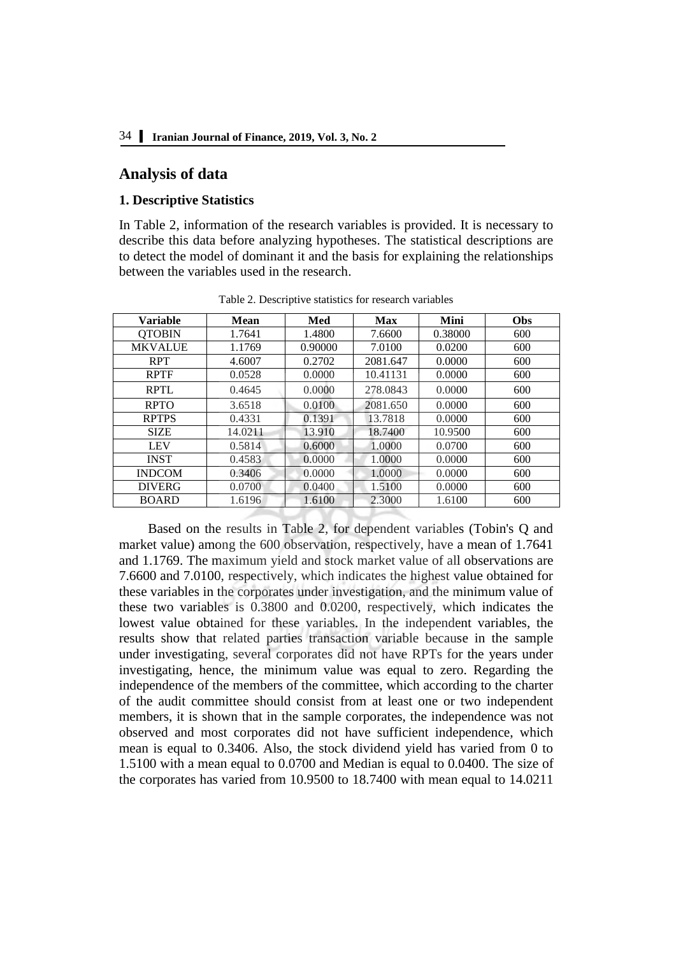# **Analysis of data**

#### **1. Descriptive Statistics**

In Table 2, information of the research variables is provided. It is necessary to describe this data before analyzing hypotheses. The statistical descriptions are to detect the model of dominant it and the basis for explaining the relationships between the variables used in the research.

| <b>Variable</b> | Mean    | Med     | <b>Max</b> | Mini    | Obs |
|-----------------|---------|---------|------------|---------|-----|
| <b>QTOBIN</b>   | 1.7641  | 1.4800  | 7.6600     | 0.38000 | 600 |
| <b>MKVALUE</b>  | 1.1769  | 0.90000 | 7.0100     | 0.0200  | 600 |
| <b>RPT</b>      | 4.6007  | 0.2702  | 2081.647   | 0.0000  | 600 |
| <b>RPTF</b>     | 0.0528  | 0.0000  | 10.41131   | 0.0000  | 600 |
| <b>RPTL</b>     | 0.4645  | 0.0000  | 278.0843   | 0.0000  | 600 |
| <b>RPTO</b>     | 3.6518  | 0.0100  | 2081.650   | 0.0000  | 600 |
| <b>RPTPS</b>    | 0.4331  | 0.1391  | 13.7818    | 0.0000  | 600 |
| <b>SIZE</b>     | 14.0211 | 13.910  | 18.7400    | 10.9500 | 600 |
| <b>LEV</b>      | 0.5814  | 0.6000  | 1.0000     | 0.0700  | 600 |
| <b>INST</b>     | 0.4583  | 0.0000  | 1.0000     | 0.0000  | 600 |
| <b>INDCOM</b>   | 0.3406  | 0.0000  | 1.0000     | 0.0000  | 600 |
| <b>DIVERG</b>   | 0.0700  | 0.0400  | 1.5100     | 0.0000  | 600 |
| <b>BOARD</b>    | 1.6196  | 1.6100  | 2.3000     | 1.6100  | 600 |

Table 2. Descriptive statistics for research variables

Based on the results in Table 2, for dependent variables (Tobin's Q and market value) among the 600 observation, respectively, have a mean of 1.7641 and 1.1769. The maximum yield and stock market value of all observations are 7.6600 and 7.0100, respectively, which indicates the highest value obtained for these variables in the corporates under investigation, and the minimum value of these two variables is 0.3800 and 0.0200, respectively, which indicates the lowest value obtained for these variables. In the independent variables, the results show that related parties transaction variable because in the sample under investigating, several corporates did not have RPTs for the years under investigating, hence, the minimum value was equal to zero. Regarding the independence of the members of the committee, which according to the charter of the audit committee should consist from at least one or two independent members, it is shown that in the sample corporates, the independence was not observed and most corporates did not have sufficient independence, which mean is equal to 0.3406. Also, the stock dividend yield has varied from 0 to 1.5100 with a mean equal to 0.0700 and Median is equal to 0.0400. The size of the corporates has varied from 10.9500 to 18.7400 with mean equal to 14.0211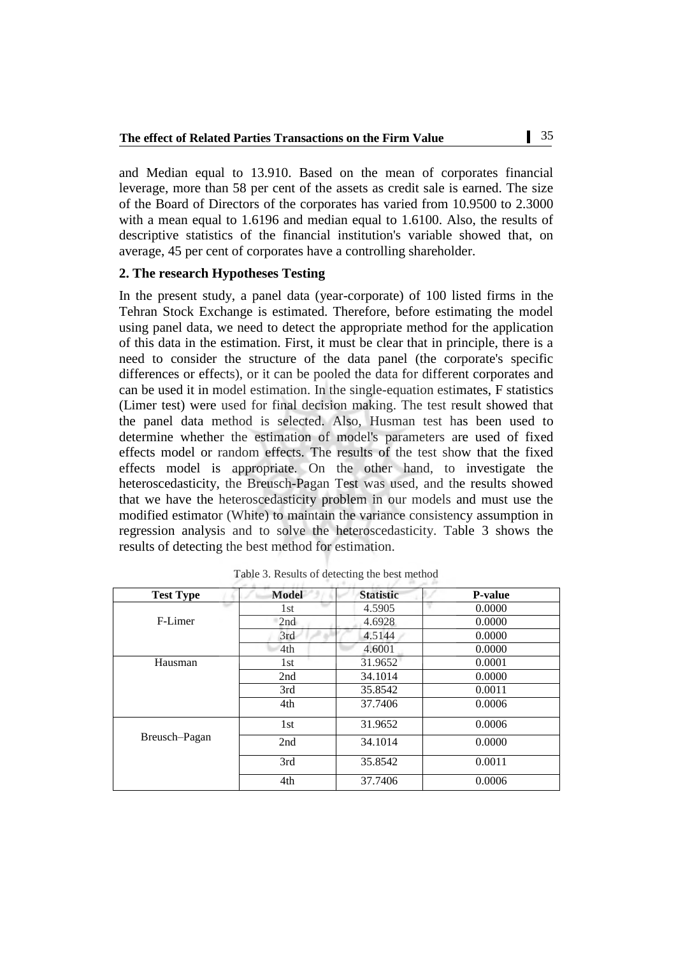and Median equal to 13.910. Based on the mean of corporates financial leverage, more than 58 per cent of the assets as credit sale is earned. The size of the Board of Directors of the corporates has varied from 10.9500 to 2.3000 with a mean equal to 1.6196 and median equal to 1.6100. Also, the results of descriptive statistics of the financial institution's variable showed that, on average, 45 per cent of corporates have a controlling shareholder.

#### **2. The research Hypotheses Testing**

In the present study, a panel data (year-corporate) of 100 listed firms in the Tehran Stock Exchange is estimated. Therefore, before estimating the model using panel data, we need to detect the appropriate method for the application of this data in the estimation. First, it must be clear that in principle, there is a need to consider the structure of the data panel (the corporate's specific differences or effects), or it can be pooled the data for different corporates and can be used it in model estimation. In the single-equation estimates, F statistics (Limer test) were used for final decision making. The test result showed that the panel data method is selected. Also, Husman test has been used to determine whether the estimation of model's parameters are used of fixed effects model or random effects. The results of the test show that the fixed effects model is appropriate. On the other hand, to investigate the heteroscedasticity, the Breusch-Pagan Test was used, and the results showed that we have the heteroscedasticity problem in our models and must use the modified estimator (White) to maintain the variance consistency assumption in regression analysis and to solve the heteroscedasticity. Table 3 shows the results of detecting the best method for estimation.

| <b>Test Type</b> | <b>Model</b> | <b>Statistic</b> | <b>P-value</b> |
|------------------|--------------|------------------|----------------|
|                  | 1st          | 4.5905           | 0.0000         |
| F-Limer          | 2nd          | 4.6928           | 0.0000         |
|                  | 3rd          | 4.5144           | 0.0000         |
|                  | 4th          | 4.6001           | 0.0000         |
| Hausman          | 1st          | 31.9652          | 0.0001         |
|                  | 2nd          | 34.1014          | 0.0000         |
|                  | 3rd          | 35.8542          | 0.0011         |
|                  | 4th          | 37.7406          | 0.0006         |
|                  | 1st          | 31.9652          | 0.0006         |
| Breusch-Pagan    | 2nd          | 34.1014          | 0.0000         |
|                  | 3rd          | 35.8542          | 0.0011         |
|                  | 4th          | 37.7406          | 0.0006         |

Table 3. Results of detecting the best method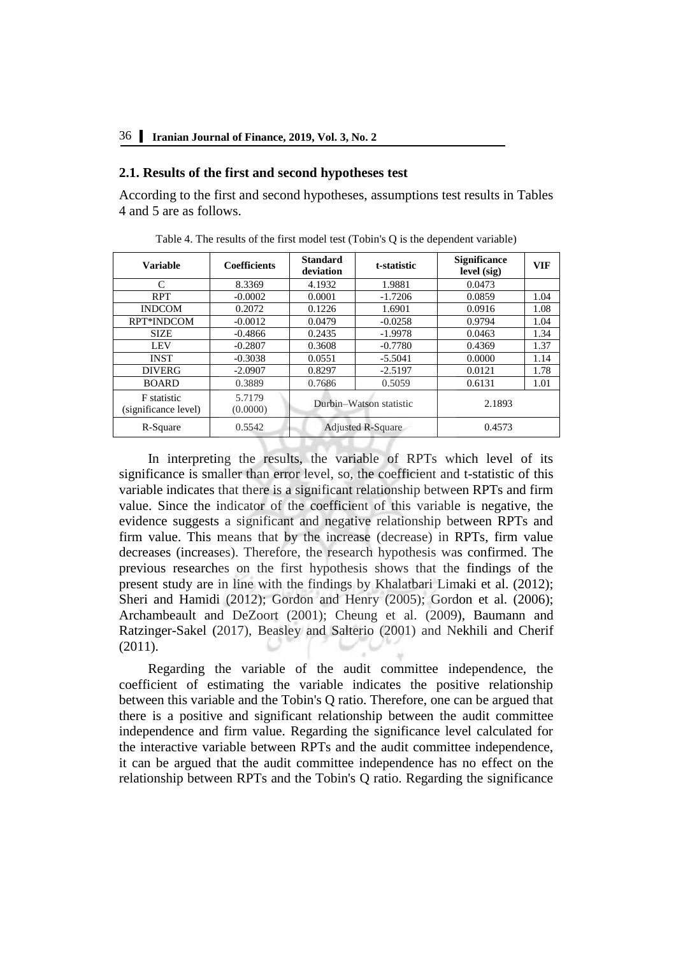#### **2.1. Results of the first and second hypotheses test**

According to the first and second hypotheses, assumptions test results in Tables 4 and 5 are as follows.

| <b>Variable</b>                            | <b>Coefficients</b> | <b>Standard</b><br>deviation | t-statistic | <b>Significance</b><br>level (sig) | <b>VIF</b> |
|--------------------------------------------|---------------------|------------------------------|-------------|------------------------------------|------------|
| C                                          | 8.3369              | 4.1932                       | 1.9881      | 0.0473                             |            |
| <b>RPT</b>                                 | $-0.0002$           | 0.0001                       | $-1.7206$   | 0.0859                             | 1.04       |
| <b>INDCOM</b>                              | 0.2072              | 0.1226                       | 1.6901      | 0.0916                             | 1.08       |
| RPT*INDCOM                                 | $-0.0012$           | 0.0479                       | $-0.0258$   | 0.9794                             | 1.04       |
| <b>SIZE</b>                                | $-0.4866$           | 0.2435                       | $-1.9978$   | 0.0463                             | 1.34       |
| <b>LEV</b>                                 | $-0.2807$           | 0.3608                       | $-0.7780$   | 0.4369                             | 1.37       |
| <b>INST</b>                                | $-0.3038$           | 0.0551                       | $-5.5041$   | 0.0000                             | 1.14       |
| <b>DIVERG</b>                              | $-2.0907$           | 0.8297                       | $-2.5197$   | 0.0121                             | 1.78       |
| <b>BOARD</b>                               | 0.3889              | 0.7686                       | 0.5059      | 0.6131                             | 1.01       |
| <b>F</b> statistic<br>(significance level) | 5.7179<br>(0.0000)  | Durbin-Watson statistic      |             | 2.1893                             |            |
| R-Square                                   | 0.5542              | <b>Adjusted R-Square</b>     |             | 0.4573                             |            |

Table 4. The results of the first model test (Tobin's Q is the dependent variable)

In interpreting the results, the variable of RPTs which level of its significance is smaller than error level, so, the coefficient and t-statistic of this variable indicates that there is a significant relationship between RPTs and firm value. Since the indicator of the coefficient of this variable is negative, the evidence suggests a significant and negative relationship between RPTs and firm value. This means that by the increase (decrease) in RPTs, firm value decreases (increases). Therefore, the research hypothesis was confirmed. The previous researches on the first hypothesis shows that the findings of the present study are in line with the findings by [Khalatbari Limaki et al. \(2012\);](file:///C:/Users/atefe/Desktop/drfjl/2%202019/1089/1089.edited.docx%23_ENREF_31) [Sheri and Hamidi \(2012\);](file:///C:/Users/atefe/Desktop/drfjl/2%202019/1089/1089.edited.docx%23_ENREF_40) [Gordon and Henry \(2005\);](file:///C:/Users/atefe/Desktop/drfjl/2%202019/1089/1089.edited.docx%23_ENREF_24) [Gordon et al. \(2006\);](file:///C:/Users/atefe/Desktop/drfjl/2%202019/1089/1089.edited.docx%23_ENREF_25) [Archambeault and DeZoort \(2001\);](file:///C:/Users/atefe/Desktop/drfjl/2%202019/1089/1089.edited.docx%23_ENREF_7) [Cheung et al. \(2009\),](file:///C:/Users/atefe/Desktop/drfjl/2%202019/1089/1089.edited.docx%23_ENREF_13) [Baumann and](file:///C:/Users/atefe/Desktop/drfjl/2%202019/1089/1089.edited.docx%23_ENREF_9)  Ratzinger-Sakel (2017), [Beasley and Salterio \(2001\)](file:///C:/Users/atefe/Desktop/drfjl/2%202019/1089/1089.edited.docx%23_ENREF_10) and [Nekhili and Cherif](file:///C:/Users/atefe/Desktop/drfjl/2%202019/1089/1089.edited.docx%23_ENREF_35)  (2011).

Regarding the variable of the audit committee independence, the coefficient of estimating the variable indicates the positive relationship between this variable and the Tobin's Q ratio. Therefore, one can be argued that there is a positive and significant relationship between the audit committee independence and firm value. Regarding the significance level calculated for the interactive variable between RPTs and the audit committee independence, it can be argued that the audit committee independence has no effect on the relationship between RPTs and the Tobin's Q ratio. Regarding the significance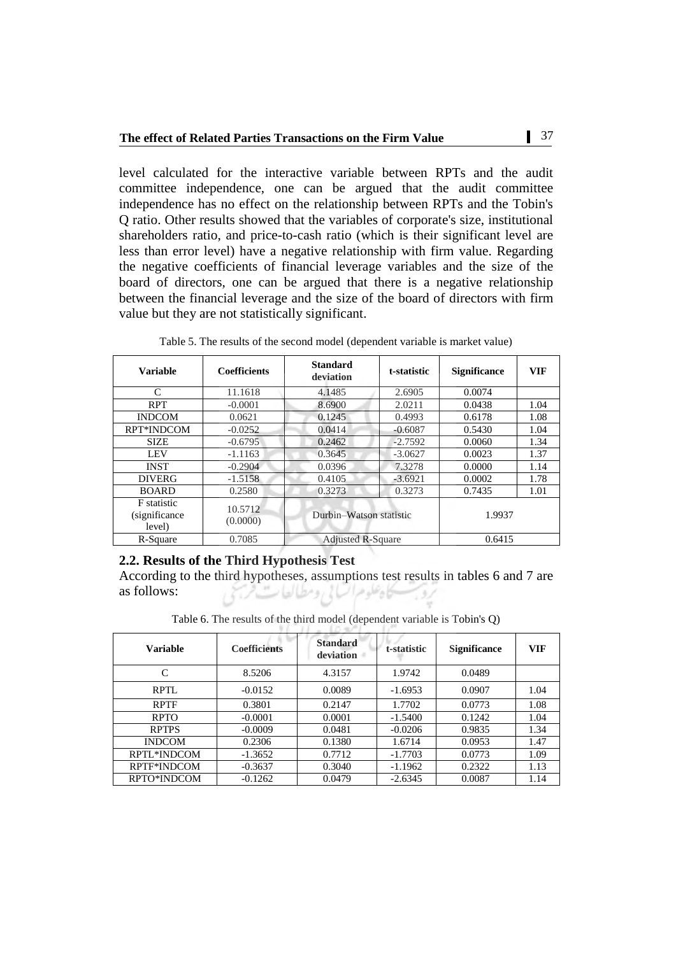level calculated for the interactive variable between RPTs and the audit committee independence, one can be argued that the audit committee independence has no effect on the relationship between RPTs and the Tobin's Q ratio. Other results showed that the variables of corporate's size, institutional shareholders ratio, and price-to-cash ratio (which is their significant level are less than error level) have a negative relationship with firm value. Regarding the negative coefficients of financial leverage variables and the size of the board of directors, one can be argued that there is a negative relationship between the financial leverage and the size of the board of directors with firm value but they are not statistically significant.

| <b>Variable</b>                               | <b>Coefficients</b> | <b>Standard</b><br>deviation | t-statistic | <b>Significance</b> | <b>VIF</b> |
|-----------------------------------------------|---------------------|------------------------------|-------------|---------------------|------------|
| C                                             | 11.1618             | 4.1485                       | 2.6905      | 0.0074              |            |
| <b>RPT</b>                                    | $-0.0001$           | 8.6900                       | 2.0211      | 0.0438              | 1.04       |
| <b>INDCOM</b>                                 | 0.0621              | 0.1245                       | 0.4993      | 0.6178              | 1.08       |
| RPT*INDCOM                                    | $-0.0252$           | 0.0414                       | $-0.6087$   | 0.5430              | 1.04       |
| <b>SIZE</b>                                   | $-0.6795$           | 0.2462                       | $-2.7592$   | 0.0060              | 1.34       |
| <b>LEV</b>                                    | $-1.1163$           | 0.3645                       | $-3.0627$   | 0.0023              | 1.37       |
| <b>INST</b>                                   | $-0.2904$           | 0.0396                       | 7.3278      | 0.0000              | 1.14       |
| <b>DIVERG</b>                                 | $-1.5158$           | 0.4105                       | $-3.6921$   | 0.0002              | 1.78       |
| <b>BOARD</b>                                  | 0.2580              | 0.3273                       | 0.3273      | 0.7435              | 1.01       |
| <b>F</b> statistic<br>(significance<br>level) | 10.5712<br>(0.0000) | Durbin-Watson statistic      |             | 1.9937              |            |
| R-Square                                      | 0.7085              | <b>Adjusted R-Square</b>     |             | 0.6415              |            |

Table 5. The results of the second model (dependent variable is market value)

## **2.2. Results of the Third Hypothesis Test**

According to the third hypotheses, assumptions test results in tables 6 and 7 are as follows: 531

Table 6. The results of the third model (dependent variable is Tobin's Q)

| <b>Variable</b> | <b>Coefficients</b> | <b>Standard</b><br>deviation | t-statistic | <b>Significance</b> | <b>VIF</b> |
|-----------------|---------------------|------------------------------|-------------|---------------------|------------|
| C               | 8.5206              | 4.3157                       | 1.9742      | 0.0489              |            |
| RPTL            | $-0.0152$           | 0.0089                       | $-1.6953$   | 0.0907              | 1.04       |
| <b>RPTF</b>     | 0.3801              | 0.2147                       | 1.7702      | 0.0773              | 1.08       |
| <b>RPTO</b>     | $-0.0001$           | 0.0001                       | $-1.5400$   | 0.1242              | 1.04       |
| <b>RPTPS</b>    | $-0.0009$           | 0.0481                       | $-0.0206$   | 0.9835              | 1.34       |
| <b>INDCOM</b>   | 0.2306              | 0.1380                       | 1.6714      | 0.0953              | 1.47       |
| RPTL*INDCOM     | $-1.3652$           | 0.7712                       | $-1.7703$   | 0.0773              | 1.09       |
| RPTF*INDCOM     | $-0.3637$           | 0.3040                       | $-1.1962$   | 0.2322              | 1.13       |
| RPTO*INDCOM     | $-0.1262$           | 0.0479                       | $-2.6345$   | 0.0087              | 1.14       |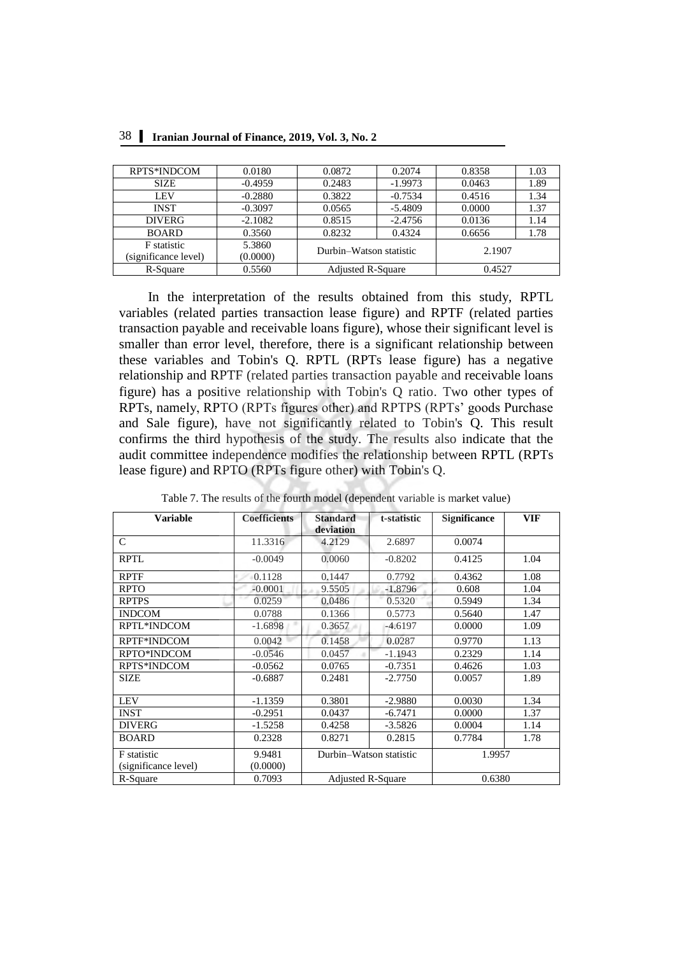| RPTS*INDCOM                                | 0.0180             | 0.0872                   | 0.2074    | 0.8358 | 1.03 |
|--------------------------------------------|--------------------|--------------------------|-----------|--------|------|
| <b>SIZE</b>                                | $-0.4959$          | 0.2483                   | $-1.9973$ | 0.0463 | 1.89 |
| LEV                                        | $-0.2880$          | 0.3822                   | $-0.7534$ | 0.4516 | 1.34 |
| <b>INST</b>                                | $-0.3097$          | 0.0565                   | $-5.4809$ | 0.0000 | 1.37 |
| <b>DIVERG</b>                              | $-2.1082$          | 0.8515                   | $-2.4756$ | 0.0136 | 1.14 |
| <b>BOARD</b>                               | 0.3560             | 0.8232                   | 0.4324    | 0.6656 | 1.78 |
| <b>F</b> statistic<br>(significance level) | 5.3860<br>(0.0000) | Durbin-Watson statistic  |           | 2.1907 |      |
| R-Square                                   | 0.5560             | <b>Adjusted R-Square</b> |           | 0.4527 |      |

38 **Iranian Journal of Finance, 2019, Vol. 3, No. 2**

In the interpretation of the results obtained from this study, RPTL variables (related parties transaction lease figure) and RPTF (related parties transaction payable and receivable loans figure), whose their significant level is smaller than error level, therefore, there is a significant relationship between these variables and Tobin's Q. RPTL (RPTs lease figure) has a negative relationship and RPTF (related parties transaction payable and receivable loans figure) has a positive relationship with Tobin's Q ratio. Two other types of RPTs, namely, RPTO (RPTs figures other) and RPTPS (RPTs' goods Purchase and Sale figure), have not significantly related to Tobin's Q. This result confirms the third hypothesis of the study. The results also indicate that the audit committee independence modifies the relationship between RPTL (RPTs lease figure) and RPTO (RPTs figure other) with Tobin's Q.

| <b>Variable</b>      | <b>Coefficients</b> | <b>Standard</b><br>deviation | t-statistic | <b>Significance</b> | <b>VIF</b> |  |  |
|----------------------|---------------------|------------------------------|-------------|---------------------|------------|--|--|
| $\mathcal{C}$        | 11.3316             | 4.2129                       | 2.6897      | 0.0074              |            |  |  |
| <b>RPTL</b>          | $-0.0049$           | 0.0060                       | $-0.8202$   | 0.4125              | 1.04       |  |  |
| <b>RPTF</b>          | 0.1128              | 0.1447                       | 0.7792      | 0.4362              | 1.08       |  |  |
| <b>RPTO</b>          | $-0.0001$           | 9.5505                       | $-1.8796$   | 0.608               | 1.04       |  |  |
| <b>RPTPS</b>         | 0.0259              | 0.0486                       | 0.5320      | 0.5949              | 1.34       |  |  |
| <b>INDCOM</b>        | 0.0788              | 0.1366                       | 0.5773      | 0.5640              | 1.47       |  |  |
| RPTL*INDCOM          | $-1.6898$           | 0.3657                       | $-4.6197$   | 0.0000              | 1.09       |  |  |
| RPTF*INDCOM          | 0.0042              | 0.1458                       | 0.0287      | 0.9770              | 1.13       |  |  |
| RPTO*INDCOM          | $-0.0546$           | 0.0457                       | $-1.1943$   | 0.2329              | 1.14       |  |  |
| <b>RPTS*INDCOM</b>   | $-0.0562$           | 0.0765                       | $-0.7351$   | 0.4626              | 1.03       |  |  |
| <b>SIZE</b>          | $-0.6887$           | 0.2481                       | $-2.7750$   | 0.0057              | 1.89       |  |  |
| <b>LEV</b>           | $-1.1359$           | 0.3801                       | $-2.9880$   | 0.0030              | 1.34       |  |  |
| <b>INST</b>          | $-0.2951$           | 0.0437                       | $-6.7471$   | 0.0000              | 1.37       |  |  |
| <b>DIVERG</b>        | $-1.5258$           | 0.4258                       | $-3.5826$   | 0.0004              | 1.14       |  |  |
| <b>BOARD</b>         | 0.2328              | 0.8271                       | 0.2815      | 0.7784              | 1.78       |  |  |
| F statistic          | 9.9481              | Durbin-Watson statistic      |             | 1.9957              |            |  |  |
| (significance level) | (0.0000)            |                              |             |                     |            |  |  |
| R-Square             | 0.7093              | <b>Adjusted R-Square</b>     |             | 0.6380              |            |  |  |

Table 7. The results of the fourth model (dependent variable is market value)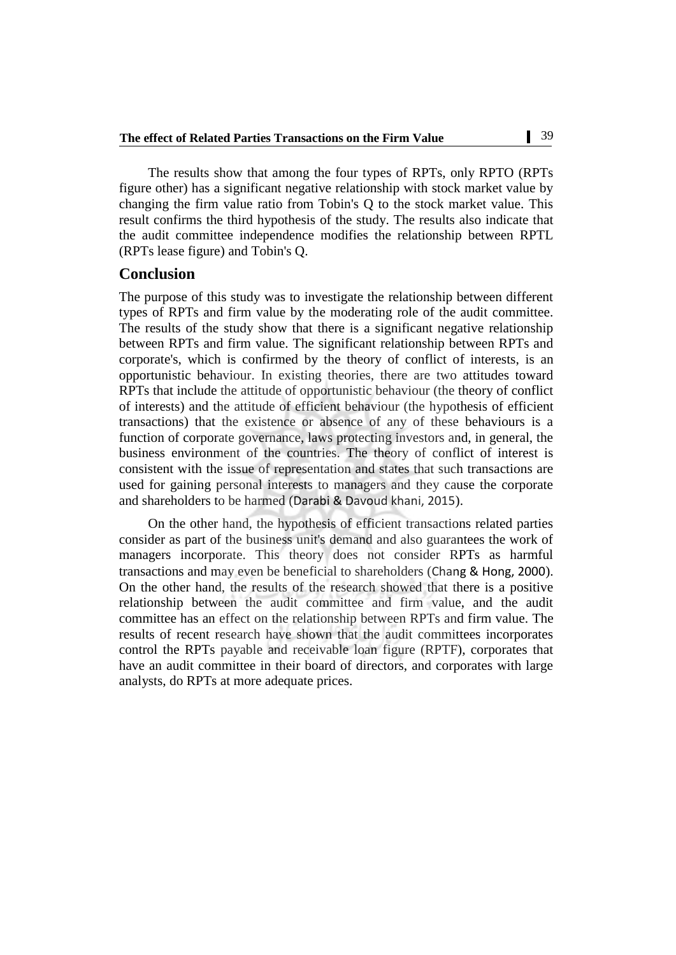The results show that among the four types of RPTs, only RPTO (RPTs figure other) has a significant negative relationship with stock market value by changing the firm value ratio from Tobin's Q to the stock market value. This result confirms the third hypothesis of the study. The results also indicate that the audit committee independence modifies the relationship between RPTL (RPTs lease figure) and Tobin's Q.

# **Conclusion**

The purpose of this study was to investigate the relationship between different types of RPTs and firm value by the moderating role of the audit committee. The results of the study show that there is a significant negative relationship between RPTs and firm value. The significant relationship between RPTs and corporate's, which is confirmed by the theory of conflict of interests, is an opportunistic behaviour. In existing theories, there are two attitudes toward RPTs that include the attitude of opportunistic behaviour (the theory of conflict of interests) and the attitude of efficient behaviour (the hypothesis of efficient transactions) that the existence or absence of any of these behaviours is a function of corporate governance, laws protecting investors and, in general, the business environment of the countries. The theory of conflict of interest is consistent with the issue of representation and states that such transactions are used for gaining personal interests to managers and they cause the corporate and shareholders to be harmed ([Darabi & Davoud khani, 2015](file:///C:/Users/atefe/Desktop/drfjl/2%202019/1089/1089.edited.docx%23_ENREF_18)).

On the other hand, the hypothesis of efficient transactions related parties consider as part of the business unit's demand and also guarantees the work of managers incorporate. This theory does not consider RPTs as harmful transactions and may even be beneficial to shareholders ([Chang & Hong, 2000](file:///C:/Users/atefe/Desktop/drfjl/2%202019/1089/1089.edited.docx%23_ENREF_12)). On the other hand, the results of the research showed that there is a positive relationship between the audit committee and firm value, and the audit committee has an effect on the relationship between RPTs and firm value. The results of recent research have shown that the audit committees incorporates control the RPTs payable and receivable loan figure (RPTF), corporates that have an audit committee in their board of directors, and corporates with large analysts, do RPTs at more adequate prices.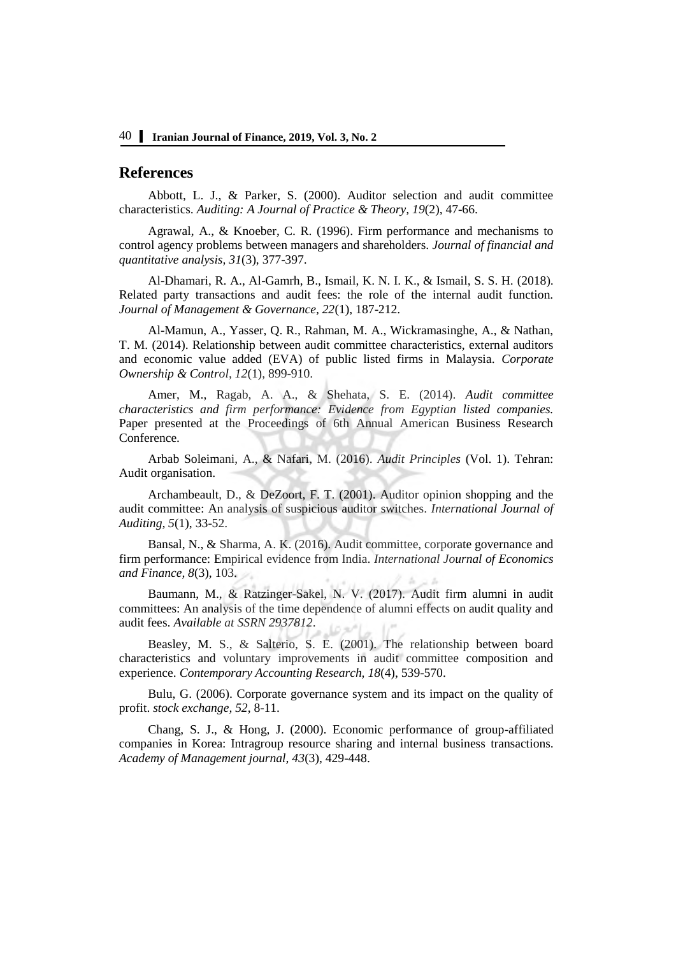## **References**

Abbott, L. J., & Parker, S. (2000). Auditor selection and audit committee characteristics. *Auditing: A Journal of Practice & Theory, 19*(2), 47-66.

Agrawal, A., & Knoeber, C. R. (1996). Firm performance and mechanisms to control agency problems between managers and shareholders. *Journal of financial and quantitative analysis, 31*(3), 377-397.

Al-Dhamari, R. A., Al-Gamrh, B., Ismail, K. N. I. K., & Ismail, S. S. H. (2018). Related party transactions and audit fees: the role of the internal audit function. *Journal of Management & Governance, 22*(1), 187-212.

Al-Mamun, A., Yasser, Q. R., Rahman, M. A., Wickramasinghe, A., & Nathan, T. M. (2014). Relationship between audit committee characteristics, external auditors and economic value added (EVA) of public listed firms in Malaysia. *Corporate Ownership & Control, 12*(1), 899-910.

Amer, M., Ragab, A. A., & Shehata, S. E. (2014). *Audit committee characteristics and firm performance: Evidence from Egyptian listed companies.* Paper presented at the Proceedings of 6th Annual American Business Research Conference.

Arbab Soleimani, A., & Nafari, M. (2016). *Audit Principles* (Vol. 1). Tehran: Audit organisation.

Archambeault, D., & DeZoort, F. T. (2001). Auditor opinion shopping and the audit committee: An analysis of suspicious auditor switches. *International Journal of Auditing, 5*(1), 33-52.

Bansal, N., & Sharma, A. K. (2016). Audit committee, corporate governance and firm performance: Empirical evidence from India. *International Journal of Economics and Finance, 8*(3), 103.

Baumann, M., & Ratzinger-Sakel, N. V. (2017). Audit firm alumni in audit committees: An analysis of the time dependence of alumni effects on audit quality and audit fees. *Available at SSRN 2937812*.

Beasley, M. S., & Salterio, S. E. (2001). The relationship between board characteristics and voluntary improvements in audit committee composition and experience. *Contemporary Accounting Research, 18*(4), 539-570.

Bulu, G. (2006). Corporate governance system and its impact on the quality of profit. *stock exchange, 52*, 8-11.

Chang, S. J., & Hong, J. (2000). Economic performance of group-affiliated companies in Korea: Intragroup resource sharing and internal business transactions. *Academy of Management journal, 43*(3), 429-448.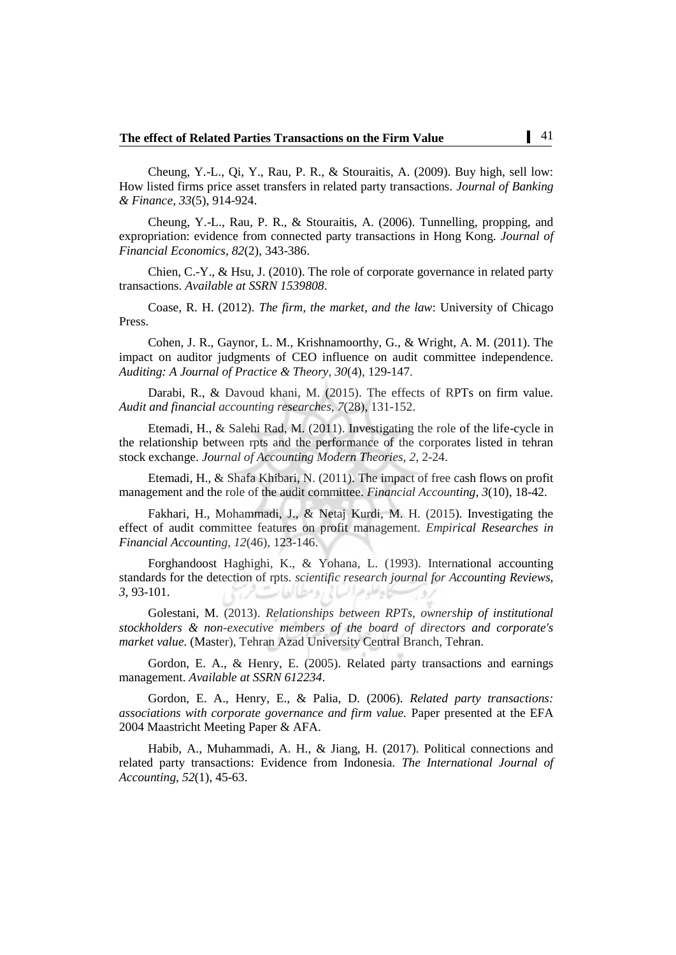Cheung, Y.-L., Qi, Y., Rau, P. R., & Stouraitis, A. (2009). Buy high, sell low: How listed firms price asset transfers in related party transactions. *Journal of Banking & Finance, 33*(5), 914-924.

Cheung, Y.-L., Rau, P. R., & Stouraitis, A. (2006). Tunnelling, propping, and expropriation: evidence from connected party transactions in Hong Kong. *Journal of Financial Economics, 82*(2), 343-386.

Chien, C.-Y., & Hsu, J. (2010). The role of corporate governance in related party transactions. *Available at SSRN 1539808*.

Coase, R. H. (2012). *The firm, the market, and the law*: University of Chicago Press.

Cohen, J. R., Gaynor, L. M., Krishnamoorthy, G., & Wright, A. M. (2011). The impact on auditor judgments of CEO influence on audit committee independence. *Auditing: A Journal of Practice & Theory, 30*(4), 129-147.

Darabi, R., & Davoud khani, M. (2015). The effects of RPTs on firm value. *Audit and financial accounting researches, 7*(28), 131-152.

Etemadi, H., & Salehi Rad, M. (2011). Investigating the role of the life-cycle in the relationship between rpts and the performance of the corporates listed in tehran stock exchange. *Journal of Accounting Modern Theories, 2*, 2-24.

Etemadi, H., & Shafa Khibari, N. (2011). The impact of free cash flows on profit management and the role of the audit committee. *Financial Accounting, 3*(10), 18-42.

Fakhari, H., Mohammadi, J., & Netaj Kurdi, M. H. (2015). Investigating the effect of audit committee features on profit management. *Empirical Researches in Financial Accounting, 12*(46), 123-146.

Forghandoost Haghighi, K., & Yohana, L. (1993). International accounting standards for the detection of rpts. *scientific research journal for Accounting Reviews, 3*, 93-101.

Golestani, M. (2013). *Relationships between RPTs, ownership of institutional stockholders & non-executive members of the board of directors and corporate's market value.* (Master), Tehran Azad University Central Branch, Tehran.

Gordon, E. A., & Henry, E. (2005). Related party transactions and earnings management. *Available at SSRN 612234*.

Gordon, E. A., Henry, E., & Palia, D. (2006). *Related party transactions: associations with corporate governance and firm value.* Paper presented at the EFA 2004 Maastricht Meeting Paper & AFA.

Habib, A., Muhammadi, A. H., & Jiang, H. (2017). Political connections and related party transactions: Evidence from Indonesia. *The International Journal of Accounting, 52*(1), 45-63.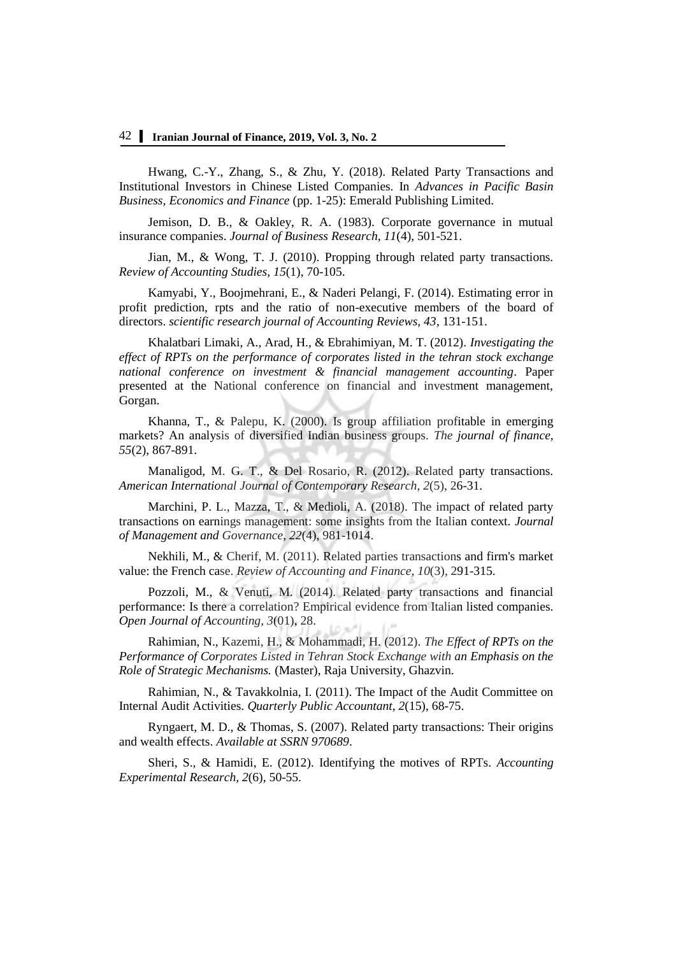Hwang, C.-Y., Zhang, S., & Zhu, Y. (2018). Related Party Transactions and Institutional Investors in Chinese Listed Companies. In *Advances in Pacific Basin Business, Economics and Finance* (pp. 1-25): Emerald Publishing Limited.

Jemison, D. B., & Oakley, R. A. (1983). Corporate governance in mutual insurance companies. *Journal of Business Research, 11*(4), 501-521.

Jian, M., & Wong, T. J. (2010). Propping through related party transactions. *Review of Accounting Studies, 15*(1), 70-105.

Kamyabi, Y., Boojmehrani, E., & Naderi Pelangi, F. (2014). Estimating error in profit prediction, rpts and the ratio of non-executive members of the board of directors. *scientific research journal of Accounting Reviews, 43*, 131-151.

Khalatbari Limaki, A., Arad, H., & Ebrahimiyan, M. T. (2012). *Investigating the effect of RPTs on the performance of corporates listed in the tehran stock exchange national conference on investment & financial management accounting*. Paper presented at the National conference on financial and investment management, Gorgan.

Khanna, T., & Palepu, K. (2000). Is group affiliation profitable in emerging markets? An analysis of diversified Indian business groups. *The journal of finance, 55*(2), 867-891.

Manaligod, M. G. T., & Del Rosario, R. (2012). Related party transactions. *American International Journal of Contemporary Research, 2*(5), 26-31.

Marchini, P. L., Mazza, T., & Medioli, A. (2018). The impact of related party transactions on earnings management: some insights from the Italian context. *Journal of Management and Governance, 22*(4), 981-1014.

Nekhili, M., & Cherif, M. (2011). Related parties transactions and firm's market value: the French case. *Review of Accounting and Finance, 10*(3), 291-315.

Pozzoli, M., & Venuti, M. (2014). Related party transactions and financial performance: Is there a correlation? Empirical evidence from Italian listed companies. *Open Journal of Accounting, 3*(01), 28.

Rahimian, N., Kazemi, H., & Mohammadi, H. (2012). *The Effect of RPTs on the Performance of Corporates Listed in Tehran Stock Exchange with an Emphasis on the Role of Strategic Mechanisms.* (Master), Raja University, Ghazvin.

Rahimian, N., & Tavakkolnia, I. (2011). The Impact of the Audit Committee on Internal Audit Activities. *Quarterly Public Accountant, 2*(15), 68-75.

Ryngaert, M. D., & Thomas, S. (2007). Related party transactions: Their origins and wealth effects. *Available at SSRN 970689*.

Sheri, S., & Hamidi, E. (2012). Identifying the motives of RPTs. *Accounting Experimental Research, 2*(6), 50-55.